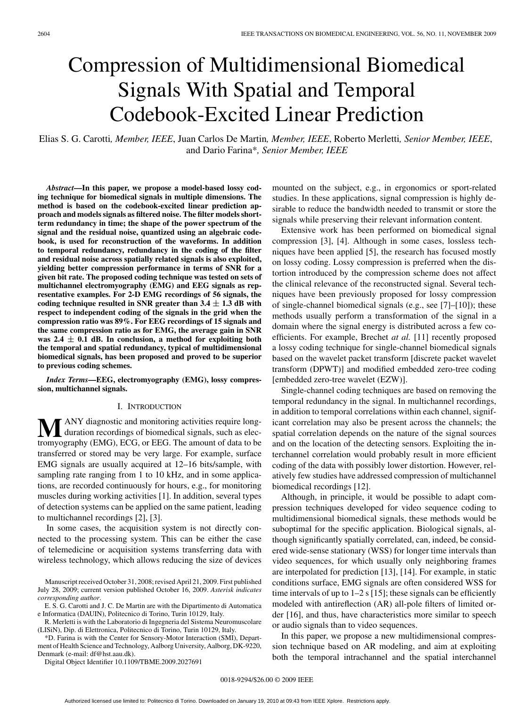# Compression of Multidimensional Biomedical Signals With Spatial and Temporal Codebook-Excited Linear Prediction

Elias S. G. Carotti*, Member, IEEE*, Juan Carlos De Martin*, Member, IEEE*, Roberto Merletti*, Senior Member, IEEE*, and Dario Farina\**, Senior Member, IEEE*

*Abstract***—In this paper, we propose a model-based lossy coding technique for biomedical signals in multiple dimensions. The method is based on the codebook-excited linear prediction approach and models signals as filtered noise. The filter models shortterm redundancy in time; the shape of the power spectrum of the signal and the residual noise, quantized using an algebraic codebook, is used for reconstruction of the waveforms. In addition to temporal redundancy, redundancy in the coding of the filter and residual noise across spatially related signals is also exploited, yielding better compression performance in terms of SNR for a given bit rate. The proposed coding technique was tested on sets of multichannel electromyography (EMG) and EEG signals as representative examples. For 2-D EMG recordings of 56 signals, the coding technique resulted in SNR greater than 3.4** *±* **1.3 dB with respect to independent coding of the signals in the grid when the compression ratio was 89%. For EEG recordings of 15 signals and the same compression ratio as for EMG, the average gain in SNR was 2.4** *±* **0.1 dB. In conclusion, a method for exploiting both the temporal and spatial redundancy, typical of multidimensional biomedical signals, has been proposed and proved to be superior to previous coding schemes.**

*Index Terms***—EEG, electromyography (EMG), lossy compression, multichannel signals.**

# I. INTRODUCTION

**M**ANY diagnostic and monitoring activities require long-<br>duration recordings of biomedical signals, such as elec-<br>tronvography (EMG). ECG, or EEG. The amount of data to be tromyography (EMG), ECG, or EEG. The amount of data to be transferred or stored may be very large. For example, surface EMG signals are usually acquired at 12–16 bits/sample, with sampling rate ranging from 1 to 10 kHz, and in some applications, are recorded continuously for hours, e.g., for monitoring muscles during working activities [1]. In addition, several types of detection systems can be applied on the same patient, leading to multichannel recordings [2], [3].

In some cases, the acquisition system is not directly connected to the processing system. This can be either the case of telemedicine or acquisition systems transferring data with wireless technology, which allows reducing the size of devices

\*D. Farina is with the Center for Sensory-Motor Interaction (SMI), Department of Health Science and Technology, Aalborg University, Aalborg, DK-9220, Denmark (e-mail: df@hst.aau.dk).

Digital Object Identifier 10.1109/TBME.2009.2027691

mounted on the subject, e.g., in ergonomics or sport-related studies. In these applications, signal compression is highly desirable to reduce the bandwidth needed to transmit or store the signals while preserving their relevant information content.

Extensive work has been performed on biomedical signal compression [3], [4]. Although in some cases, lossless techniques have been applied [5], the research has focused mostly on lossy coding. Lossy compression is preferred when the distortion introduced by the compression scheme does not affect the clinical relevance of the reconstructed signal. Several techniques have been previously proposed for lossy compression of single-channel biomedical signals (e.g., see [7]–[10]); these methods usually perform a transformation of the signal in a domain where the signal energy is distributed across a few coefficients. For example, Brechet *at al.* [11] recently proposed a lossy coding technique for single-channel biomedical signals based on the wavelet packet transform [discrete packet wavelet transform (DPWT)] and modified embedded zero-tree coding [embedded zero-tree wavelet (EZW)].

Single-channel coding techniques are based on removing the temporal redundancy in the signal. In multichannel recordings, in addition to temporal correlations within each channel, significant correlation may also be present across the channels; the spatial correlation depends on the nature of the signal sources and on the location of the detecting sensors. Exploiting the interchannel correlation would probably result in more efficient coding of the data with possibly lower distortion. However, relatively few studies have addressed compression of multichannel biomedical recordings [12].

Although, in principle, it would be possible to adapt compression techniques developed for video sequence coding to multidimensional biomedical signals, these methods would be suboptimal for the specific application. Biological signals, although significantly spatially correlated, can, indeed, be considered wide-sense stationary (WSS) for longer time intervals than video sequences, for which usually only neighboring frames are interpolated for prediction [13], [14]. For example, in static conditions surface, EMG signals are often considered WSS for time intervals of up to  $1-2$  s [15]; these signals can be efficiently modeled with antireflection (AR) all-pole filters of limited order [16], and thus, have characteristics more similar to speech or audio signals than to video sequences.

In this paper, we propose a new multidimensional compression technique based on AR modeling, and aim at exploiting both the temporal intrachannel and the spatial interchannel

Manuscript received October 31, 2008; revised April 21, 2009. First published July 28, 2009; current version published October 16, 2009. *Asterisk indicates corresponding author*.

E. S. G. Carotti and J. C. De Martin are with the Dipartimento di Automatica e Informatica (DAUIN), Politecnico di Torino, Turin 10129, Italy.

R. Merletti is with the Laboratorio di Ingegneria del Sistema Neuromuscolare (LISiN), Dip. di Elettronica, Politecnico di Torino, Turin 10129, Italy.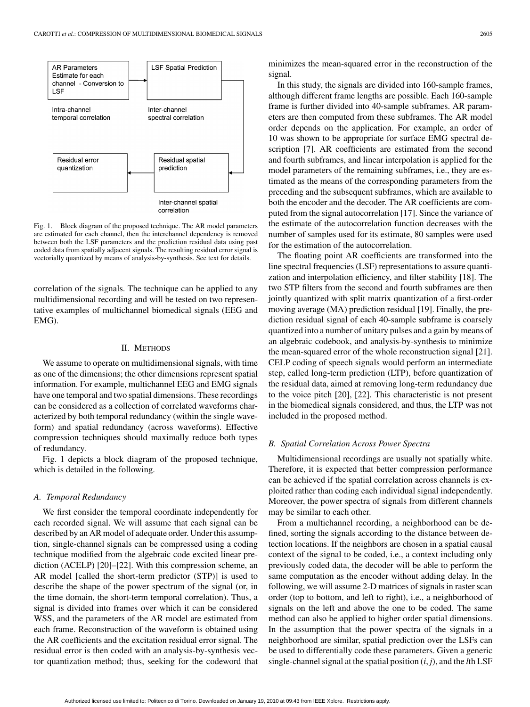

Fig. 1. Block diagram of the proposed technique. The AR model parameters are estimated for each channel, then the interchannel dependency is removed between both the LSF parameters and the prediction residual data using past coded data from spatially adjacent signals. The resulting residual error signal is vectorially quantized by means of analysis-by-synthesis. See text for details.

correlation of the signals. The technique can be applied to any multidimensional recording and will be tested on two representative examples of multichannel biomedical signals (EEG and EMG).

## II. METHODS

We assume to operate on multidimensional signals, with time as one of the dimensions; the other dimensions represent spatial information. For example, multichannel EEG and EMG signals have one temporal and two spatial dimensions. These recordings can be considered as a collection of correlated waveforms characterized by both temporal redundancy (within the single waveform) and spatial redundancy (across waveforms). Effective compression techniques should maximally reduce both types of redundancy.

Fig. 1 depicts a block diagram of the proposed technique, which is detailed in the following.

## *A. Temporal Redundancy*

We first consider the temporal coordinate independently for each recorded signal. We will assume that each signal can be described by an AR model of adequate order. Under this assumption, single-channel signals can be compressed using a coding technique modified from the algebraic code excited linear prediction (ACELP) [20]–[22]. With this compression scheme, an AR model [called the short-term predictor (STP)] is used to describe the shape of the power spectrum of the signal (or, in the time domain, the short-term temporal correlation). Thus, a signal is divided into frames over which it can be considered WSS, and the parameters of the AR model are estimated from each frame. Reconstruction of the waveform is obtained using the AR coefficients and the excitation residual error signal. The residual error is then coded with an analysis-by-synthesis vector quantization method; thus, seeking for the codeword that

minimizes the mean-squared error in the reconstruction of the signal.

In this study, the signals are divided into 160-sample frames, although different frame lengths are possible. Each 160-sample frame is further divided into 40-sample subframes. AR parameters are then computed from these subframes. The AR model order depends on the application. For example, an order of 10 was shown to be appropriate for surface EMG spectral description [7]. AR coefficients are estimated from the second and fourth subframes, and linear interpolation is applied for the model parameters of the remaining subframes, i.e., they are estimated as the means of the corresponding parameters from the preceding and the subsequent subframes, which are available to both the encoder and the decoder. The AR coefficients are computed from the signal autocorrelation [17]. Since the variance of the estimate of the autocorrelation function decreases with the number of samples used for its estimate, 80 samples were used for the estimation of the autocorrelation.

The floating point AR coefficients are transformed into the line spectral frequencies (LSF) representations to assure quantization and interpolation efficiency, and filter stability [18]. The two STP filters from the second and fourth subframes are then jointly quantized with split matrix quantization of a first-order moving average (MA) prediction residual [19]. Finally, the prediction residual signal of each 40-sample subframe is coarsely quantized into a number of unitary pulses and a gain by means of an algebraic codebook, and analysis-by-synthesis to minimize the mean-squared error of the whole reconstruction signal [21]. CELP coding of speech signals would perform an intermediate step, called long-term prediction (LTP), before quantization of the residual data, aimed at removing long-term redundancy due to the voice pitch [20], [22]. This characteristic is not present in the biomedical signals considered, and thus, the LTP was not included in the proposed method.

# *B. Spatial Correlation Across Power Spectra*

Multidimensional recordings are usually not spatially white. Therefore, it is expected that better compression performance can be achieved if the spatial correlation across channels is exploited rather than coding each individual signal independently. Moreover, the power spectra of signals from different channels may be similar to each other.

From a multichannel recording, a neighborhood can be defined, sorting the signals according to the distance between detection locations. If the neighbors are chosen in a spatial causal context of the signal to be coded, i.e., a context including only previously coded data, the decoder will be able to perform the same computation as the encoder without adding delay. In the following, we will assume 2-D matrices of signals in raster scan order (top to bottom, and left to right), i.e., a neighborhood of signals on the left and above the one to be coded. The same method can also be applied to higher order spatial dimensions. In the assumption that the power spectra of the signals in a neighborhood are similar, spatial prediction over the LSFs can be used to differentially code these parameters. Given a generic single-channel signal at the spatial position (*i*, *j*), and the *l*th LSF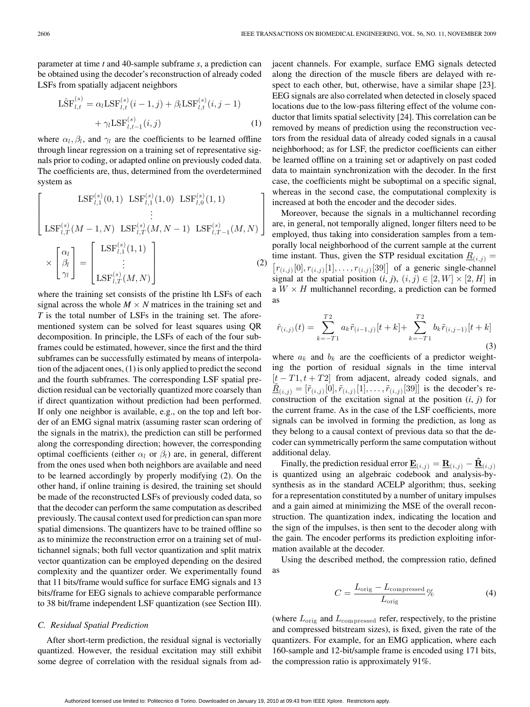parameter at time *t* and 40-sample subframe *s*, a prediction can be obtained using the decoder's reconstruction of already coded LSFs from spatially adjacent neighbors

$$
\text{LSF}_{l,t}^{(s)} = \alpha_l \text{LSF}_{l,t}^{(s)}(i-1,j) + \beta_l \text{LSF}_{l,t}^{(s)}(i,j-1) + \gamma_l \text{LSF}_{l,t-1}^{(s)}(i,j)
$$
(1)

where  $\alpha_l$ ,  $\beta_l$ , and  $\gamma_l$  are the coefficients to be learned offline through linear regression on a training set of representative signals prior to coding, or adapted online on previously coded data. The coefficients are, thus, determined from the overdetermined system as

$$
\begin{bmatrix}\n\text{LSF}_{l,1}^{(s)}(0,1) & \text{LSF}_{l,1}^{(s)}(1,0) & \text{LSF}_{l,0}^{(s)}(1,1) \\
\vdots & & \vdots \\
\text{LSF}_{l,T}^{(s)}(M-1,N) & \text{LSF}_{l,T}^{(s)}(M,N-1) & \text{LSF}_{l,T-1}^{(s)}(M,N)\n\end{bmatrix}
$$
\n
$$
\times \begin{bmatrix}\n\alpha_l \\
\beta_l \\
\gamma_l\n\end{bmatrix} = \begin{bmatrix}\n\text{LSF}_{l,1}^{(s)}(1,1) \\
\vdots \\
\text{LSF}_{l,T}^{(s)}(M,N)\n\end{bmatrix}
$$
\n(2)

where the training set consists of the pristine lth LSFs of each signal across the whole  $M \times N$  matrices in the training set and *T* is the total number of LSFs in the training set. The aforementioned system can be solved for least squares using QR decomposition. In principle, the LSFs of each of the four subframes could be estimated, however, since the first and the third subframes can be successfully estimated by means of interpolation of the adjacent ones, (1) is only applied to predict the second and the fourth subframes. The corresponding LSF spatial prediction residual can be vectorially quantized more coarsely than if direct quantization without prediction had been performed. If only one neighbor is available, e.g., on the top and left border of an EMG signal matrix (assuming raster scan ordering of the signals in the matrix), the prediction can still be performed along the corresponding direction; however, the corresponding optimal coefficients (either  $\alpha_l$  or  $\beta_l$ ) are, in general, different from the ones used when both neighbors are available and need to be learned accordingly by properly modifying (2). On the other hand, if online training is desired, the training set should be made of the reconstructed LSFs of previously coded data, so that the decoder can perform the same computation as described previously. The causal context used for prediction can span more spatial dimensions. The quantizers have to be trained offline so as to minimize the reconstruction error on a training set of multichannel signals; both full vector quantization and split matrix vector quantization can be employed depending on the desired complexity and the quantizer order. We experimentally found that 11 bits/frame would suffice for surface EMG signals and 13 bits/frame for EEG signals to achieve comparable performance to 38 bit/frame independent LSF quantization (see Section III).

## *C. Residual Spatial Prediction*

After short-term prediction, the residual signal is vectorially quantized. However, the residual excitation may still exhibit some degree of correlation with the residual signals from adjacent channels. For example, surface EMG signals detected along the direction of the muscle fibers are delayed with respect to each other, but, otherwise, have a similar shape [23]. EEG signals are also correlated when detected in closely spaced locations due to the low-pass filtering effect of the volume conductor that limits spatial selectivity [24]. This correlation can be removed by means of prediction using the reconstruction vectors from the residual data of already coded signals in a causal neighborhood; as for LSF, the predictor coefficients can either be learned offline on a training set or adaptively on past coded data to maintain synchronization with the decoder. In the first case, the coefficients might be suboptimal on a specific signal, whereas in the second case, the computational complexity is increased at both the encoder and the decoder sides.

Moreover, because the signals in a multichannel recording are, in general, not temporally aligned, longer filters need to be employed, thus taking into consideration samples from a temporally local neighborhood of the current sample at the current time instant. Thus, given the STP residual excitation  $\underline{R}_{(i,j)} =$  $[r_{(i,j)}[0], r_{(i,j)}[1], \ldots, r_{(i,j)}[39]]$  of a generic single-channel signal at the spatial position  $(i, j)$ ,  $(i, j) \in [2, W] \times [2, H]$  in a  $W \times H$  multichannel recording, a prediction can be formed as

$$
\hat{r}_{(i,j)}(t) = \sum_{k=-T_1}^{T_2} a_k \tilde{r}_{(i-1,j)}[t+k] + \sum_{k=-T_1}^{T_2} b_k \tilde{r}_{(i,j-1)}[t+k]
$$
\n(3)

where  $a_k$  and  $b_k$  are the coefficients of a predictor weighting the portion of residual signals in the time interval  $[t - T1, t + T2]$  from adjacent, already coded signals, and  $\underline{R}_{(i,j)} = [\tilde{r}_{(i,j)}[0], \tilde{r}_{(i,j)}[1], \ldots, \tilde{r}_{(i,j)}[39]]$  is the decoder's reconstruction of the excitation signal at the position (*i*, *j*) for the current frame. As in the case of the LSF coefficients, more signals can be involved in forming the prediction, as long as they belong to a causal context of previous data so that the decoder can symmetrically perform the same computation without additional delay.

Finally, the prediction residual error  $\underline{\mathbf{E}}_{(i,j)} = \underline{\mathbf{R}}_{(i,j)} - \underline{\mathbf{R}}_{(i,j)}$ is quantized using an algebraic codebook and analysis-bysynthesis as in the standard ACELP algorithm; thus, seeking for a representation constituted by a number of unitary impulses and a gain aimed at minimizing the MSE of the overall reconstruction. The quantization index, indicating the location and the sign of the impulses, is then sent to the decoder along with the gain. The encoder performs its prediction exploiting information available at the decoder.

Using the described method, the compression ratio, defined as

$$
C = \frac{L_{\text{orig}} - L_{\text{compressed}}}{L_{\text{orig}}}\%
$$
 (4)

(where  $L_{\text{orig}}$  and  $L_{\text{compressed}}$  refer, respectively, to the pristine and compressed bitstream sizes), is fixed, given the rate of the quantizers. For example, for an EMG application, where each 160-sample and 12-bit/sample frame is encoded using 171 bits, the compression ratio is approximately 91%.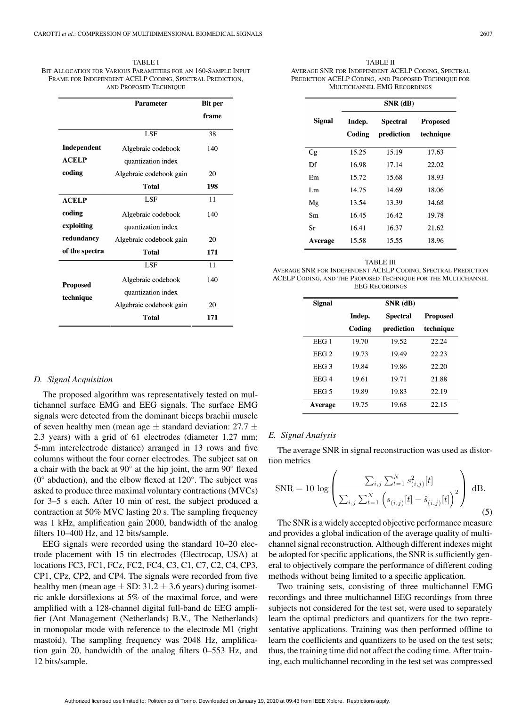TABLE I BIT ALLOCATION FOR VARIOUS PARAMETERS FOR AN 160-SAMPLE INPUT FRAME FOR INDEPENDENT ACELP CODING, SPECTRAL PREDICTION, AND PROPOSED TECHNIQUE

|                              | Parameter               | <b>Bit per</b> |  |
|------------------------------|-------------------------|----------------|--|
|                              |                         | frame          |  |
|                              | <b>LSF</b>              | 38             |  |
| Independent                  | Algebraic codebook      | 140            |  |
| <b>ACELP</b>                 | quantization index      |                |  |
| coding                       | Algebraic codebook gain | 20             |  |
|                              | Total                   | 198            |  |
| <b>ACELP</b>                 | LSF                     | 11             |  |
| coding                       | Algebraic codebook      | 140            |  |
| exploiting                   | quantization index      |                |  |
| redundancy                   | Algebraic codebook gain | 20             |  |
| of the spectra               | Total                   | 171            |  |
| <b>Proposed</b><br>technique | <b>LSF</b>              | 11             |  |
|                              | Algebraic codebook      | 140            |  |
|                              | quantization index      |                |  |
|                              | Algebraic codebook gain | 20             |  |
|                              | Total                   | 171            |  |

## *D. Signal Acquisition*

The proposed algorithm was representatively tested on multichannel surface EMG and EEG signals. The surface EMG signals were detected from the dominant biceps brachii muscle of seven healthy men (mean age  $\pm$  standard deviation: 27.7  $\pm$ 2.3 years) with a grid of 61 electrodes (diameter 1.27 mm; 5-mm interelectrode distance) arranged in 13 rows and five columns without the four corner electrodes. The subject sat on a chair with the back at 90◦ at the hip joint, the arm 90◦ flexed (0◦ abduction), and the elbow flexed at 120◦. The subject was asked to produce three maximal voluntary contractions (MVCs) for 3–5 s each. After 10 min of rest, the subject produced a contraction at 50% MVC lasting 20 s. The sampling frequency was 1 kHz, amplification gain 2000, bandwidth of the analog filters 10–400 Hz, and 12 bits/sample.

EEG signals were recorded using the standard 10–20 electrode placement with 15 tin electrodes (Electrocap, USA) at locations FC3, FC1, FCz, FC2, FC4, C3, C1, C7, C2, C4, CP3, CP1, CPz, CP2, and CP4. The signals were recorded from five healthy men (mean age  $\pm$  SD: 31.2  $\pm$  3.6 years) during isometric ankle dorsiflexions at 5% of the maximal force, and were amplified with a 128-channel digital full-band dc EEG amplifier (Ant Management (Netherlands) B.V., The Netherlands) in monopolar mode with reference to the electrode M1 (right mastoid). The sampling frequency was 2048 Hz, amplification gain 20, bandwidth of the analog filters 0–553 Hz, and 12 bits/sample.

TABLE II AVERAGE SNR FOR INDEPENDENT ACELP CODING, SPECTRAL PREDICTION ACELP CODING, AND PROPOSED TECHNIQUE FOR MULTICHANNEL EMG RECORDINGS

|               | $SNR$ (dB)       |                               |                              |  |
|---------------|------------------|-------------------------------|------------------------------|--|
| <b>Signal</b> | Indep.<br>Coding | <b>Spectral</b><br>prediction | <b>Proposed</b><br>technique |  |
| Cg            | 15.25            | 15.19                         | 17.63                        |  |
| Df            | 16.98            | 17.14                         | 22.02                        |  |
| Em            | 15.72            | 15.68                         | 18.93                        |  |
| Lm.           | 14.75            | 14.69                         | 18.06                        |  |
| Mg            | 13.54            | 13.39                         | 14.68                        |  |
| Sm            | 16.45            | 16.42                         | 19.78                        |  |
| Sr            | 16.41            | 16.37                         | 21.62                        |  |
| Average       | 15.58            | 15.55                         | 18.96                        |  |

#### TABLE III

AVERAGE SNR FOR INDEPENDENT ACELP CODING, SPECTRAL PREDICTION ACELP CODING, AND THE PROPOSED TECHNIQUE FOR THE MULTICHANNEL EEG RECORDINGS

| Signal           |        | SNR (dB)        |                 |
|------------------|--------|-----------------|-----------------|
|                  | Indep. | <b>Spectral</b> | <b>Proposed</b> |
|                  | Coding | prediction      | technique       |
| EEG 1            | 19.70  | 19.52           | 22.24           |
| EEG 2            | 19.73  | 19.49           | 22.23           |
| EEG <sub>3</sub> | 19.84  | 19.86           | 22.20           |
| EEG <sub>4</sub> | 19.61  | 19.71           | 21.88           |
| EEG 5            | 19.89  | 19.83           | 22.19           |
| Average          | 19.75  | 19.68           | 22.15           |

## *E. Signal Analysis*

The average SNR in signal reconstruction was used as distortion metrics

$$
SNR = 10 \log \left( \frac{\sum_{i,j} \sum_{t=1}^{N} s_{(i,j)}^{2}[t]}{\sum_{i,j} \sum_{t=1}^{N} \left( s_{(i,j)}[t] - \hat{s}_{(i,j)}[t] \right)^{2}} \right) dB.
$$
\n(5)

The SNR is a widely accepted objective performance measure and provides a global indication of the average quality of multichannel signal reconstruction. Although different indexes might be adopted for specific applications, the SNR is sufficiently general to objectively compare the performance of different coding methods without being limited to a specific application.

Two training sets, consisting of three multichannel EMG recordings and three multichannel EEG recordings from three subjects not considered for the test set, were used to separately learn the optimal predictors and quantizers for the two representative applications. Training was then performed offline to learn the coefficients and quantizers to be used on the test sets; thus, the training time did not affect the coding time. After training, each multichannel recording in the test set was compressed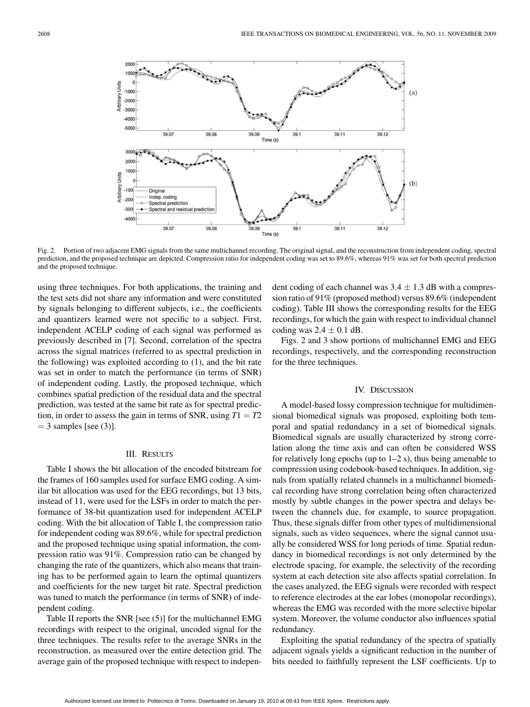

Fig. 2. Portion of two adjacent EMG signals from the same multichannel recording. The original signal, and the reconstruction from independent coding, spectral prediction, and the proposed technique are depicted. Compression ratio for independent coding was set to 89.6%, whereas 91% was set for both spectral prediction and the proposed technique.

using three techniques. For both applications, the training and the test sets did not share any information and were constituted by signals belonging to different subjects, i.e., the coefficients and quantizers learned were not specific to a subject. First, independent ACELP coding of each signal was performed as previously described in [7]. Second, correlation of the spectra across the signal matrices (referred to as spectral prediction in the following) was exploited according to (1), and the bit rate was set in order to match the performance (in terms of SNR) of independent coding. Lastly, the proposed technique, which combines spatial prediction of the residual data and the spectral prediction, was tested at the same bit rate as for spectral prediction, in order to assess the gain in terms of SNR, using  $T1 = T2$  $=$  3 samples [see (3)].

# III. RESULTS

Table I shows the bit allocation of the encoded bitstream for the frames of 160 samples used for surface EMG coding. A similar bit allocation was used for the EEG recordings, but 13 bits, instead of 11, were used for the LSFs in order to match the performance of 38-bit quantization used for independent ACELP coding. With the bit allocation of Table I, the compression ratio for independent coding was 89.6%, while for spectral prediction and the proposed technique using spatial information, the compression ratio was 91%. Compression ratio can be changed by changing the rate of the quantizers, which also means that training has to be performed again to learn the optimal quantizers and coefficients for the new target bit rate. Spectral prediction was tuned to match the performance (in terms of SNR) of independent coding.

Table II reports the SNR [see (5)] for the multichannel EMG recordings with respect to the original, uncoded signal for the three techniques. The results refer to the average SNRs in the reconstruction, as measured over the entire detection grid. The average gain of the proposed technique with respect to independent coding of each channel was  $3.4 \pm 1.3$  dB with a compression ratio of 91% (proposed method) versus 89.6% (independent coding). Table III shows the corresponding results for the EEG recordings, for which the gain with respect to individual channel coding was  $2.4 \pm 0.1$  dB.

Figs. 2 and 3 show portions of multichannel EMG and EEG recordings, respectively, and the corresponding reconstruction for the three techniques.

## IV. DISCUSSION

A model-based lossy compression technique for multidimensional biomedical signals was proposed, exploiting both temporal and spatial redundancy in a set of biomedical signals. Biomedical signals are usually characterized by strong correlation along the time axis and can often be considered WSS for relatively long epochs (up to 1–2 s), thus being amenable to compression using codebook-based techniques. In addition, signals from spatially related channels in a multichannel biomedical recording have strong correlation being often characterized mostly by subtle changes in the power spectra and delays between the channels due, for example, to source propagation. Thus, these signals differ from other types of multidimensional signals, such as video sequences, where the signal cannot usually be considered WSS for long periods of time. Spatial redundancy in biomedical recordings is not only determined by the electrode spacing, for example, the selectivity of the recording system at each detection site also affects spatial correlation. In the cases analyzed, the EEG signals were recorded with respect to reference electrodes at the ear lobes (monopolar recordings), whereas the EMG was recorded with the more selective bipolar system. Moreover, the volume conductor also influences spatial redundancy.

Exploiting the spatial redundancy of the spectra of spatially adjacent signals yields a significant reduction in the number of bits needed to faithfully represent the LSF coefficients. Up to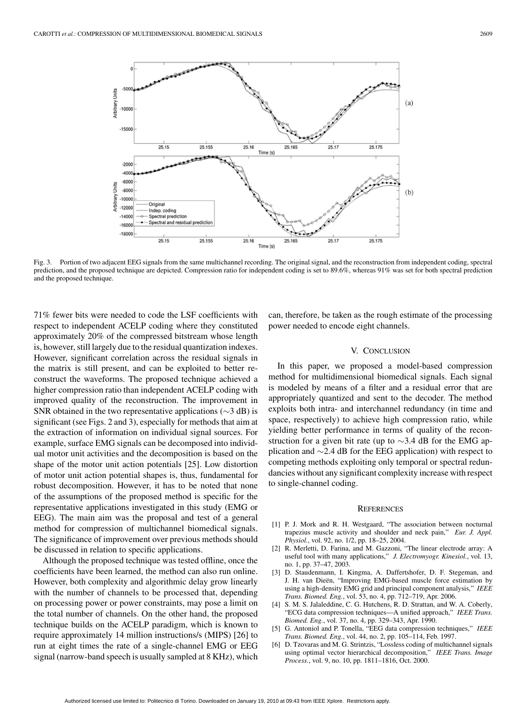

Fig. 3. Portion of two adjacent EEG signals from the same multichannel recording. The original signal, and the reconstruction from independent coding, spectral prediction, and the proposed technique are depicted. Compression ratio for independent coding is set to 89.6%, whereas 91% was set for both spectral prediction and the proposed technique.

71% fewer bits were needed to code the LSF coefficients with respect to independent ACELP coding where they constituted approximately 20% of the compressed bitstream whose length is, however, still largely due to the residual quantization indexes. However, significant correlation across the residual signals in the matrix is still present, and can be exploited to better reconstruct the waveforms. The proposed technique achieved a higher compression ratio than independent ACELP coding with improved quality of the reconstruction. The improvement in SNR obtained in the two representative applications ( $\sim$ 3 dB) is significant (see Figs. 2 and 3), especially for methods that aim at the extraction of information on individual signal sources. For example, surface EMG signals can be decomposed into individual motor unit activities and the decomposition is based on the shape of the motor unit action potentials [25]. Low distortion of motor unit action potential shapes is, thus, fundamental for robust decomposition. However, it has to be noted that none of the assumptions of the proposed method is specific for the representative applications investigated in this study (EMG or EEG). The main aim was the proposal and test of a general method for compression of multichannel biomedical signals. The significance of improvement over previous methods should be discussed in relation to specific applications.

Although the proposed technique was tested offline, once the coefficients have been learned, the method can also run online. However, both complexity and algorithmic delay grow linearly with the number of channels to be processed that, depending on processing power or power constraints, may pose a limit on the total number of channels. On the other hand, the proposed technique builds on the ACELP paradigm, which is known to require approximately 14 million instructions/s (MIPS) [26] to run at eight times the rate of a single-channel EMG or EEG signal (narrow-band speech is usually sampled at 8 KHz), which

can, therefore, be taken as the rough estimate of the processing power needed to encode eight channels.

## V. CONCLUSION

In this paper, we proposed a model-based compression method for multidimensional biomedical signals. Each signal is modeled by means of a filter and a residual error that are appropriately quantized and sent to the decoder. The method exploits both intra- and interchannel redundancy (in time and space, respectively) to achieve high compression ratio, while yielding better performance in terms of quality of the reconstruction for a given bit rate (up to ∼3.4 dB for the EMG application and  $\sim$ 2.4 dB for the EEG application) with respect to competing methods exploiting only temporal or spectral redundancies without any significant complexity increase with respect to single-channel coding.

### **REFERENCES**

- [1] P. J. Mork and R. H. Westgaard, "The association between nocturnal trapezius muscle activity and shoulder and neck pain," *Eur. J. Appl. Physiol.*, vol. 92, no. 1/2, pp. 18–25, 2004.
- [2] R. Merletti, D. Farina, and M. Gazzoni, "The linear electrode array: A useful tool with many applications," *J. Electromyogr. Kinesiol.*, vol. 13, no. 1, pp. 37–47, 2003.
- [3] D. Staudenmann, I. Kingma, A. Daffertshofer, D. F. Stegeman, and J. H. van Dieën, "Improving EMG-based muscle force estimation by using a high-density EMG grid and principal component analysis," *IEEE Trans. Biomed. Eng.*, vol. 53, no. 4, pp. 712–719, Apr. 2006.
- [4] S. M. S. Jalaleddine, C. G. Hutchens, R. D. Strattan, and W. A. Coberly, "ECG data compression techniques—A unified approach," *IEEE Trans. Biomed. Eng.*, vol. 37, no. 4, pp. 329–343, Apr. 1990.
- [5] G. Antoniol and P. Tonella, "EEG data compression techniques," *IEEE Trans. Biomed. Eng.*, vol. 44, no. 2, pp. 105–114, Feb. 1997.
- [6] D. Tzovaras and M. G. Strintzis, "Lossless coding of multichannel signals using optimal vector hierarchical decomposition," *IEEE Trans. Image Process.*, vol. 9, no. 10, pp. 1811–1816, Oct. 2000.